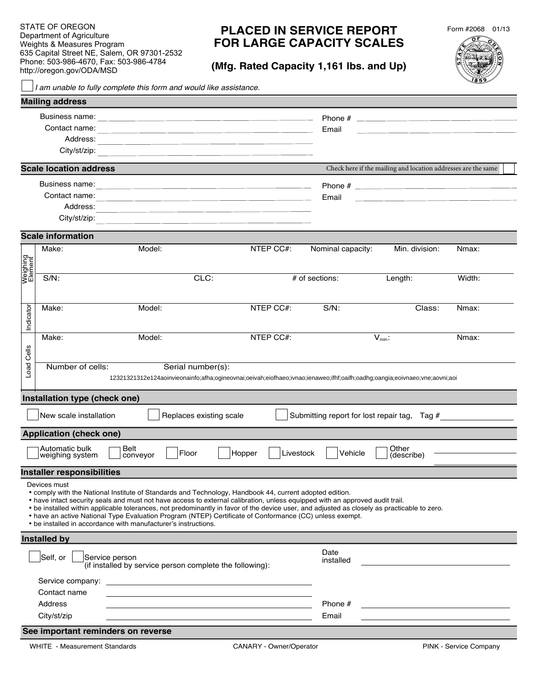STATE OF OREGON STATE OF OREGON Department of Agriculture Department of Agriculture Weights & Measures Program 635 Capitol Street NE, Salem, OR 97301-2532 Phone: 503-986-4670, Fax: 503-986-4784 Phone: 503-986-4670, Fax: 503-986-4784 http://oregon.gov/ODA/MSD http://oregon.gov/ODA/MSD Weights & Measures Program 635 Capital Street NE, Salem, OR 97301-2532

## **PLACED IN SERVICE REPORT FOR LARGE CAPACITY SCALES**

**(Mfg. Rated Capacity 1,161 lbs. and Up)**



| <b>Mailing address</b><br>Contact name:<br>Email<br>the contract of the contract of the contract of the contract of the contract of<br>Address:<br>City/st/zip:<br>the control of the control of the control of the control of the control of the control of the control of the control of the control of the control of the control of the control of the control of the control of the control<br><b>Scale location address</b><br>Check here if the mailing and location addresses are the same<br>Contact name:<br>Email<br>the control of the control of the control of the control of the control of the control of the control of the control of the control of the control of the control of the control of the control of the control of the control<br>the control of the control of the control of the control of the control of the control of<br>Address:<br><u> 1980 - Johann Barn, amerikan besteman besteman besteman besteman besteman besteman besteman besteman besteman</u><br>City/st/zip:<br><b>Scale information</b><br>NTEP CC#:<br>Make:<br>Model:<br>Nominal capacity:<br>Min. division:<br>Nmax:<br>Weighing<br>Element<br>CLC:<br>$S/N$ :<br># of sections:<br>Length:<br>Width:<br>Indicator<br>NTEP CC#:<br>$S/N$ :<br>Class:<br>Make:<br>Model:<br>Nmax:<br>NTEP CC#:<br>$V_{min}$ :<br>Make:<br>Model:<br>Nmax:<br>Cells<br>Load<br>Number of cells:<br>Serial number(s):<br>12321321312e124aoinvieonainfo;afha;ogineovnai;oeivah;eiofhaeo;ivnao;ienaweo;ifhf;oaifh;oadhg;oangia;eoivnaeo;vne;aovni;aoi<br>Installation type (check one)<br>New scale installation<br>Submitting report for lost repair tag, Tag #<br>Replaces existing scale<br><b>Application (check one)</b><br>Automatic bulk<br>Belt<br>Other<br>Floor<br>Livestock<br>Vehicle<br>Hopper<br>weighing system<br>conveyor<br>(describe)<br><b>Installer responsibilities</b><br>Devices must<br>• comply with the National Institute of Standards and Technology, Handbook 44, current adopted edition.<br>• have intact security seals and must not have access to external calibration, unless equipped with an approved audit trail.<br>• be installed within applicable tolerances, not predominantly in favor of the device user, and adjusted as closely as practicable to zero.<br>• have an active National Type Evaluation Program (NTEP) Certificate of Conformance (CC) unless exempt.<br>• be installed in accordance with manufacturer's instructions.<br><b>Installed by</b><br>Date<br>Self, or<br>Service person<br>installed<br>(if installed by service person complete the following):<br>Service company: the company of the contract of the contract of the contract of the contract of the contract of the contract of the contract of the contract of the contract of the contract of the contract of the contract o<br>Contact name<br>Phone #<br>Address<br>City/st/zip<br>Email |  |  | I am unable to fully complete this form and would like assistance. |  |  |  | ⊴ອ≥∕ |  |
|--------------------------------------------------------------------------------------------------------------------------------------------------------------------------------------------------------------------------------------------------------------------------------------------------------------------------------------------------------------------------------------------------------------------------------------------------------------------------------------------------------------------------------------------------------------------------------------------------------------------------------------------------------------------------------------------------------------------------------------------------------------------------------------------------------------------------------------------------------------------------------------------------------------------------------------------------------------------------------------------------------------------------------------------------------------------------------------------------------------------------------------------------------------------------------------------------------------------------------------------------------------------------------------------------------------------------------------------------------------------------------------------------------------------------------------------------------------------------------------------------------------------------------------------------------------------------------------------------------------------------------------------------------------------------------------------------------------------------------------------------------------------------------------------------------------------------------------------------------------------------------------------------------------------------------------------------------------------------------------------------------------------------------------------------------------------------------------------------------------------------------------------------------------------------------------------------------------------------------------------------------------------------------------------------------------------------------------------------------------------------------------------------------------------------------------------------------------------------------------------------------------------------------------------------------------------------------------------------------------------------------------------------------------------------------------------------------------------------------------------------------------------------------------------------------------------------------------------------------------------------------------------------------------|--|--|--------------------------------------------------------------------|--|--|--|------|--|
|                                                                                                                                                                                                                                                                                                                                                                                                                                                                                                                                                                                                                                                                                                                                                                                                                                                                                                                                                                                                                                                                                                                                                                                                                                                                                                                                                                                                                                                                                                                                                                                                                                                                                                                                                                                                                                                                                                                                                                                                                                                                                                                                                                                                                                                                                                                                                                                                                                                                                                                                                                                                                                                                                                                                                                                                                                                                                                              |  |  |                                                                    |  |  |  |      |  |
|                                                                                                                                                                                                                                                                                                                                                                                                                                                                                                                                                                                                                                                                                                                                                                                                                                                                                                                                                                                                                                                                                                                                                                                                                                                                                                                                                                                                                                                                                                                                                                                                                                                                                                                                                                                                                                                                                                                                                                                                                                                                                                                                                                                                                                                                                                                                                                                                                                                                                                                                                                                                                                                                                                                                                                                                                                                                                                              |  |  |                                                                    |  |  |  |      |  |
|                                                                                                                                                                                                                                                                                                                                                                                                                                                                                                                                                                                                                                                                                                                                                                                                                                                                                                                                                                                                                                                                                                                                                                                                                                                                                                                                                                                                                                                                                                                                                                                                                                                                                                                                                                                                                                                                                                                                                                                                                                                                                                                                                                                                                                                                                                                                                                                                                                                                                                                                                                                                                                                                                                                                                                                                                                                                                                              |  |  |                                                                    |  |  |  |      |  |
|                                                                                                                                                                                                                                                                                                                                                                                                                                                                                                                                                                                                                                                                                                                                                                                                                                                                                                                                                                                                                                                                                                                                                                                                                                                                                                                                                                                                                                                                                                                                                                                                                                                                                                                                                                                                                                                                                                                                                                                                                                                                                                                                                                                                                                                                                                                                                                                                                                                                                                                                                                                                                                                                                                                                                                                                                                                                                                              |  |  |                                                                    |  |  |  |      |  |
|                                                                                                                                                                                                                                                                                                                                                                                                                                                                                                                                                                                                                                                                                                                                                                                                                                                                                                                                                                                                                                                                                                                                                                                                                                                                                                                                                                                                                                                                                                                                                                                                                                                                                                                                                                                                                                                                                                                                                                                                                                                                                                                                                                                                                                                                                                                                                                                                                                                                                                                                                                                                                                                                                                                                                                                                                                                                                                              |  |  |                                                                    |  |  |  |      |  |
|                                                                                                                                                                                                                                                                                                                                                                                                                                                                                                                                                                                                                                                                                                                                                                                                                                                                                                                                                                                                                                                                                                                                                                                                                                                                                                                                                                                                                                                                                                                                                                                                                                                                                                                                                                                                                                                                                                                                                                                                                                                                                                                                                                                                                                                                                                                                                                                                                                                                                                                                                                                                                                                                                                                                                                                                                                                                                                              |  |  |                                                                    |  |  |  |      |  |
|                                                                                                                                                                                                                                                                                                                                                                                                                                                                                                                                                                                                                                                                                                                                                                                                                                                                                                                                                                                                                                                                                                                                                                                                                                                                                                                                                                                                                                                                                                                                                                                                                                                                                                                                                                                                                                                                                                                                                                                                                                                                                                                                                                                                                                                                                                                                                                                                                                                                                                                                                                                                                                                                                                                                                                                                                                                                                                              |  |  |                                                                    |  |  |  |      |  |
|                                                                                                                                                                                                                                                                                                                                                                                                                                                                                                                                                                                                                                                                                                                                                                                                                                                                                                                                                                                                                                                                                                                                                                                                                                                                                                                                                                                                                                                                                                                                                                                                                                                                                                                                                                                                                                                                                                                                                                                                                                                                                                                                                                                                                                                                                                                                                                                                                                                                                                                                                                                                                                                                                                                                                                                                                                                                                                              |  |  |                                                                    |  |  |  |      |  |
|                                                                                                                                                                                                                                                                                                                                                                                                                                                                                                                                                                                                                                                                                                                                                                                                                                                                                                                                                                                                                                                                                                                                                                                                                                                                                                                                                                                                                                                                                                                                                                                                                                                                                                                                                                                                                                                                                                                                                                                                                                                                                                                                                                                                                                                                                                                                                                                                                                                                                                                                                                                                                                                                                                                                                                                                                                                                                                              |  |  |                                                                    |  |  |  |      |  |
|                                                                                                                                                                                                                                                                                                                                                                                                                                                                                                                                                                                                                                                                                                                                                                                                                                                                                                                                                                                                                                                                                                                                                                                                                                                                                                                                                                                                                                                                                                                                                                                                                                                                                                                                                                                                                                                                                                                                                                                                                                                                                                                                                                                                                                                                                                                                                                                                                                                                                                                                                                                                                                                                                                                                                                                                                                                                                                              |  |  |                                                                    |  |  |  |      |  |
|                                                                                                                                                                                                                                                                                                                                                                                                                                                                                                                                                                                                                                                                                                                                                                                                                                                                                                                                                                                                                                                                                                                                                                                                                                                                                                                                                                                                                                                                                                                                                                                                                                                                                                                                                                                                                                                                                                                                                                                                                                                                                                                                                                                                                                                                                                                                                                                                                                                                                                                                                                                                                                                                                                                                                                                                                                                                                                              |  |  |                                                                    |  |  |  |      |  |
|                                                                                                                                                                                                                                                                                                                                                                                                                                                                                                                                                                                                                                                                                                                                                                                                                                                                                                                                                                                                                                                                                                                                                                                                                                                                                                                                                                                                                                                                                                                                                                                                                                                                                                                                                                                                                                                                                                                                                                                                                                                                                                                                                                                                                                                                                                                                                                                                                                                                                                                                                                                                                                                                                                                                                                                                                                                                                                              |  |  |                                                                    |  |  |  |      |  |
|                                                                                                                                                                                                                                                                                                                                                                                                                                                                                                                                                                                                                                                                                                                                                                                                                                                                                                                                                                                                                                                                                                                                                                                                                                                                                                                                                                                                                                                                                                                                                                                                                                                                                                                                                                                                                                                                                                                                                                                                                                                                                                                                                                                                                                                                                                                                                                                                                                                                                                                                                                                                                                                                                                                                                                                                                                                                                                              |  |  |                                                                    |  |  |  |      |  |
|                                                                                                                                                                                                                                                                                                                                                                                                                                                                                                                                                                                                                                                                                                                                                                                                                                                                                                                                                                                                                                                                                                                                                                                                                                                                                                                                                                                                                                                                                                                                                                                                                                                                                                                                                                                                                                                                                                                                                                                                                                                                                                                                                                                                                                                                                                                                                                                                                                                                                                                                                                                                                                                                                                                                                                                                                                                                                                              |  |  |                                                                    |  |  |  |      |  |
|                                                                                                                                                                                                                                                                                                                                                                                                                                                                                                                                                                                                                                                                                                                                                                                                                                                                                                                                                                                                                                                                                                                                                                                                                                                                                                                                                                                                                                                                                                                                                                                                                                                                                                                                                                                                                                                                                                                                                                                                                                                                                                                                                                                                                                                                                                                                                                                                                                                                                                                                                                                                                                                                                                                                                                                                                                                                                                              |  |  |                                                                    |  |  |  |      |  |
|                                                                                                                                                                                                                                                                                                                                                                                                                                                                                                                                                                                                                                                                                                                                                                                                                                                                                                                                                                                                                                                                                                                                                                                                                                                                                                                                                                                                                                                                                                                                                                                                                                                                                                                                                                                                                                                                                                                                                                                                                                                                                                                                                                                                                                                                                                                                                                                                                                                                                                                                                                                                                                                                                                                                                                                                                                                                                                              |  |  |                                                                    |  |  |  |      |  |
|                                                                                                                                                                                                                                                                                                                                                                                                                                                                                                                                                                                                                                                                                                                                                                                                                                                                                                                                                                                                                                                                                                                                                                                                                                                                                                                                                                                                                                                                                                                                                                                                                                                                                                                                                                                                                                                                                                                                                                                                                                                                                                                                                                                                                                                                                                                                                                                                                                                                                                                                                                                                                                                                                                                                                                                                                                                                                                              |  |  |                                                                    |  |  |  |      |  |
|                                                                                                                                                                                                                                                                                                                                                                                                                                                                                                                                                                                                                                                                                                                                                                                                                                                                                                                                                                                                                                                                                                                                                                                                                                                                                                                                                                                                                                                                                                                                                                                                                                                                                                                                                                                                                                                                                                                                                                                                                                                                                                                                                                                                                                                                                                                                                                                                                                                                                                                                                                                                                                                                                                                                                                                                                                                                                                              |  |  |                                                                    |  |  |  |      |  |
|                                                                                                                                                                                                                                                                                                                                                                                                                                                                                                                                                                                                                                                                                                                                                                                                                                                                                                                                                                                                                                                                                                                                                                                                                                                                                                                                                                                                                                                                                                                                                                                                                                                                                                                                                                                                                                                                                                                                                                                                                                                                                                                                                                                                                                                                                                                                                                                                                                                                                                                                                                                                                                                                                                                                                                                                                                                                                                              |  |  |                                                                    |  |  |  |      |  |
|                                                                                                                                                                                                                                                                                                                                                                                                                                                                                                                                                                                                                                                                                                                                                                                                                                                                                                                                                                                                                                                                                                                                                                                                                                                                                                                                                                                                                                                                                                                                                                                                                                                                                                                                                                                                                                                                                                                                                                                                                                                                                                                                                                                                                                                                                                                                                                                                                                                                                                                                                                                                                                                                                                                                                                                                                                                                                                              |  |  |                                                                    |  |  |  |      |  |
|                                                                                                                                                                                                                                                                                                                                                                                                                                                                                                                                                                                                                                                                                                                                                                                                                                                                                                                                                                                                                                                                                                                                                                                                                                                                                                                                                                                                                                                                                                                                                                                                                                                                                                                                                                                                                                                                                                                                                                                                                                                                                                                                                                                                                                                                                                                                                                                                                                                                                                                                                                                                                                                                                                                                                                                                                                                                                                              |  |  |                                                                    |  |  |  |      |  |
|                                                                                                                                                                                                                                                                                                                                                                                                                                                                                                                                                                                                                                                                                                                                                                                                                                                                                                                                                                                                                                                                                                                                                                                                                                                                                                                                                                                                                                                                                                                                                                                                                                                                                                                                                                                                                                                                                                                                                                                                                                                                                                                                                                                                                                                                                                                                                                                                                                                                                                                                                                                                                                                                                                                                                                                                                                                                                                              |  |  |                                                                    |  |  |  |      |  |
|                                                                                                                                                                                                                                                                                                                                                                                                                                                                                                                                                                                                                                                                                                                                                                                                                                                                                                                                                                                                                                                                                                                                                                                                                                                                                                                                                                                                                                                                                                                                                                                                                                                                                                                                                                                                                                                                                                                                                                                                                                                                                                                                                                                                                                                                                                                                                                                                                                                                                                                                                                                                                                                                                                                                                                                                                                                                                                              |  |  |                                                                    |  |  |  |      |  |
|                                                                                                                                                                                                                                                                                                                                                                                                                                                                                                                                                                                                                                                                                                                                                                                                                                                                                                                                                                                                                                                                                                                                                                                                                                                                                                                                                                                                                                                                                                                                                                                                                                                                                                                                                                                                                                                                                                                                                                                                                                                                                                                                                                                                                                                                                                                                                                                                                                                                                                                                                                                                                                                                                                                                                                                                                                                                                                              |  |  |                                                                    |  |  |  |      |  |
|                                                                                                                                                                                                                                                                                                                                                                                                                                                                                                                                                                                                                                                                                                                                                                                                                                                                                                                                                                                                                                                                                                                                                                                                                                                                                                                                                                                                                                                                                                                                                                                                                                                                                                                                                                                                                                                                                                                                                                                                                                                                                                                                                                                                                                                                                                                                                                                                                                                                                                                                                                                                                                                                                                                                                                                                                                                                                                              |  |  |                                                                    |  |  |  |      |  |
|                                                                                                                                                                                                                                                                                                                                                                                                                                                                                                                                                                                                                                                                                                                                                                                                                                                                                                                                                                                                                                                                                                                                                                                                                                                                                                                                                                                                                                                                                                                                                                                                                                                                                                                                                                                                                                                                                                                                                                                                                                                                                                                                                                                                                                                                                                                                                                                                                                                                                                                                                                                                                                                                                                                                                                                                                                                                                                              |  |  |                                                                    |  |  |  |      |  |
|                                                                                                                                                                                                                                                                                                                                                                                                                                                                                                                                                                                                                                                                                                                                                                                                                                                                                                                                                                                                                                                                                                                                                                                                                                                                                                                                                                                                                                                                                                                                                                                                                                                                                                                                                                                                                                                                                                                                                                                                                                                                                                                                                                                                                                                                                                                                                                                                                                                                                                                                                                                                                                                                                                                                                                                                                                                                                                              |  |  |                                                                    |  |  |  |      |  |
|                                                                                                                                                                                                                                                                                                                                                                                                                                                                                                                                                                                                                                                                                                                                                                                                                                                                                                                                                                                                                                                                                                                                                                                                                                                                                                                                                                                                                                                                                                                                                                                                                                                                                                                                                                                                                                                                                                                                                                                                                                                                                                                                                                                                                                                                                                                                                                                                                                                                                                                                                                                                                                                                                                                                                                                                                                                                                                              |  |  |                                                                    |  |  |  |      |  |
|                                                                                                                                                                                                                                                                                                                                                                                                                                                                                                                                                                                                                                                                                                                                                                                                                                                                                                                                                                                                                                                                                                                                                                                                                                                                                                                                                                                                                                                                                                                                                                                                                                                                                                                                                                                                                                                                                                                                                                                                                                                                                                                                                                                                                                                                                                                                                                                                                                                                                                                                                                                                                                                                                                                                                                                                                                                                                                              |  |  |                                                                    |  |  |  |      |  |
|                                                                                                                                                                                                                                                                                                                                                                                                                                                                                                                                                                                                                                                                                                                                                                                                                                                                                                                                                                                                                                                                                                                                                                                                                                                                                                                                                                                                                                                                                                                                                                                                                                                                                                                                                                                                                                                                                                                                                                                                                                                                                                                                                                                                                                                                                                                                                                                                                                                                                                                                                                                                                                                                                                                                                                                                                                                                                                              |  |  |                                                                    |  |  |  |      |  |
|                                                                                                                                                                                                                                                                                                                                                                                                                                                                                                                                                                                                                                                                                                                                                                                                                                                                                                                                                                                                                                                                                                                                                                                                                                                                                                                                                                                                                                                                                                                                                                                                                                                                                                                                                                                                                                                                                                                                                                                                                                                                                                                                                                                                                                                                                                                                                                                                                                                                                                                                                                                                                                                                                                                                                                                                                                                                                                              |  |  |                                                                    |  |  |  |      |  |
|                                                                                                                                                                                                                                                                                                                                                                                                                                                                                                                                                                                                                                                                                                                                                                                                                                                                                                                                                                                                                                                                                                                                                                                                                                                                                                                                                                                                                                                                                                                                                                                                                                                                                                                                                                                                                                                                                                                                                                                                                                                                                                                                                                                                                                                                                                                                                                                                                                                                                                                                                                                                                                                                                                                                                                                                                                                                                                              |  |  |                                                                    |  |  |  |      |  |
|                                                                                                                                                                                                                                                                                                                                                                                                                                                                                                                                                                                                                                                                                                                                                                                                                                                                                                                                                                                                                                                                                                                                                                                                                                                                                                                                                                                                                                                                                                                                                                                                                                                                                                                                                                                                                                                                                                                                                                                                                                                                                                                                                                                                                                                                                                                                                                                                                                                                                                                                                                                                                                                                                                                                                                                                                                                                                                              |  |  |                                                                    |  |  |  |      |  |
|                                                                                                                                                                                                                                                                                                                                                                                                                                                                                                                                                                                                                                                                                                                                                                                                                                                                                                                                                                                                                                                                                                                                                                                                                                                                                                                                                                                                                                                                                                                                                                                                                                                                                                                                                                                                                                                                                                                                                                                                                                                                                                                                                                                                                                                                                                                                                                                                                                                                                                                                                                                                                                                                                                                                                                                                                                                                                                              |  |  |                                                                    |  |  |  |      |  |
|                                                                                                                                                                                                                                                                                                                                                                                                                                                                                                                                                                                                                                                                                                                                                                                                                                                                                                                                                                                                                                                                                                                                                                                                                                                                                                                                                                                                                                                                                                                                                                                                                                                                                                                                                                                                                                                                                                                                                                                                                                                                                                                                                                                                                                                                                                                                                                                                                                                                                                                                                                                                                                                                                                                                                                                                                                                                                                              |  |  |                                                                    |  |  |  |      |  |
|                                                                                                                                                                                                                                                                                                                                                                                                                                                                                                                                                                                                                                                                                                                                                                                                                                                                                                                                                                                                                                                                                                                                                                                                                                                                                                                                                                                                                                                                                                                                                                                                                                                                                                                                                                                                                                                                                                                                                                                                                                                                                                                                                                                                                                                                                                                                                                                                                                                                                                                                                                                                                                                                                                                                                                                                                                                                                                              |  |  |                                                                    |  |  |  |      |  |
|                                                                                                                                                                                                                                                                                                                                                                                                                                                                                                                                                                                                                                                                                                                                                                                                                                                                                                                                                                                                                                                                                                                                                                                                                                                                                                                                                                                                                                                                                                                                                                                                                                                                                                                                                                                                                                                                                                                                                                                                                                                                                                                                                                                                                                                                                                                                                                                                                                                                                                                                                                                                                                                                                                                                                                                                                                                                                                              |  |  |                                                                    |  |  |  |      |  |
|                                                                                                                                                                                                                                                                                                                                                                                                                                                                                                                                                                                                                                                                                                                                                                                                                                                                                                                                                                                                                                                                                                                                                                                                                                                                                                                                                                                                                                                                                                                                                                                                                                                                                                                                                                                                                                                                                                                                                                                                                                                                                                                                                                                                                                                                                                                                                                                                                                                                                                                                                                                                                                                                                                                                                                                                                                                                                                              |  |  |                                                                    |  |  |  |      |  |
|                                                                                                                                                                                                                                                                                                                                                                                                                                                                                                                                                                                                                                                                                                                                                                                                                                                                                                                                                                                                                                                                                                                                                                                                                                                                                                                                                                                                                                                                                                                                                                                                                                                                                                                                                                                                                                                                                                                                                                                                                                                                                                                                                                                                                                                                                                                                                                                                                                                                                                                                                                                                                                                                                                                                                                                                                                                                                                              |  |  |                                                                    |  |  |  |      |  |
|                                                                                                                                                                                                                                                                                                                                                                                                                                                                                                                                                                                                                                                                                                                                                                                                                                                                                                                                                                                                                                                                                                                                                                                                                                                                                                                                                                                                                                                                                                                                                                                                                                                                                                                                                                                                                                                                                                                                                                                                                                                                                                                                                                                                                                                                                                                                                                                                                                                                                                                                                                                                                                                                                                                                                                                                                                                                                                              |  |  |                                                                    |  |  |  |      |  |
| See important reminders on reverse                                                                                                                                                                                                                                                                                                                                                                                                                                                                                                                                                                                                                                                                                                                                                                                                                                                                                                                                                                                                                                                                                                                                                                                                                                                                                                                                                                                                                                                                                                                                                                                                                                                                                                                                                                                                                                                                                                                                                                                                                                                                                                                                                                                                                                                                                                                                                                                                                                                                                                                                                                                                                                                                                                                                                                                                                                                                           |  |  |                                                                    |  |  |  |      |  |